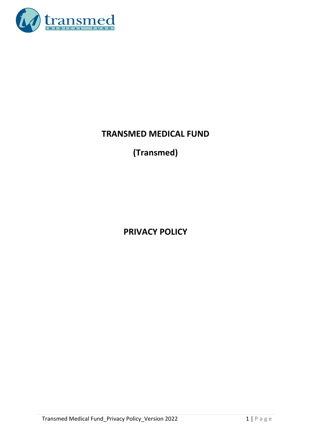

# **TRANSMED MEDICAL FUND**

# **(Transmed)**

**PRIVACY POLICY**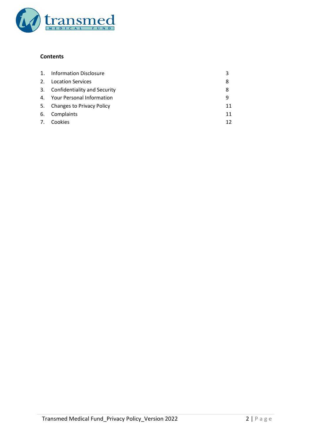

# **Contents**

| 1.      | <b>Information Disclosure</b>    |    |
|---------|----------------------------------|----|
| $2_{-}$ | <b>Location Services</b>         | 8  |
| 3.      | Confidentiality and Security     | 8  |
| 4.      | <b>Your Personal Information</b> | q  |
| 5.      | <b>Changes to Privacy Policy</b> | 11 |
| 6.      | Complaints                       | 11 |
| 7.      | Cookies                          | 12 |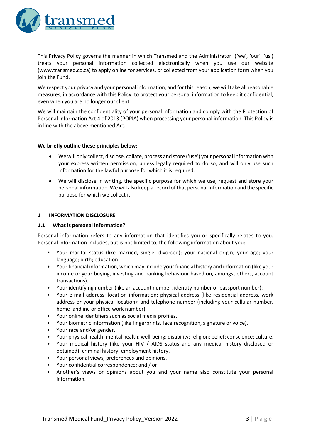

This Privacy Policy governs the manner in which Transmed and the Administrator ('we', 'our', 'us') treats your personal information collected electronically when you use our website (www.transmed.co.za) to apply online for services, or collected from your application form when you join the Fund.

We respect your privacy and your personal information, and for this reason, we will take all reasonable measures, in accordance with this Policy, to protect your personal information to keep it confidential, even when you are no longer our client.

We will maintain the confidentiality of your personal information and comply with the Protection of Personal Information Act 4 of 2013 (POPIA) when processing your personal information. This Policy is in line with the above mentioned Act.

#### **We briefly outline these principles below:**

- We will only collect, disclose, collate, process and store ('use') your personal information with your express written permission, unless legally required to do so, and will only use such information for the lawful purpose for which it is required.
- We will disclose in writing, the specific purpose for which we use, request and store your personal information. We will also keep a record of that personal information and the specific purpose for which we collect it.

#### **1 INFORMATION DISCLOSURE**

#### **1.1 What is personal information?**

Personal information refers to any information that identifies you or specifically relates to you. Personal information includes, but is not limited to, the following information about you:

- Your marital status (like married, single, divorced); your national origin; your age; your language; birth; education.
- Your financial information, which may include your financial history and information (like your income or your buying, investing and banking behaviour based on, amongst others, account transactions).
- Your identifying number (like an account number, identity number or passport number);
- Your e-mail address; location information; physical address (like residential address, work address or your physical location); and telephone number (including your cellular number, home landline or office work number).
- Your online identifiers such as social media profiles.
- Your biometric information (like fingerprints, face recognition, signature or voice).
- Your race and/or gender.
- Your physical health; mental health; well-being; disability; religion; belief; conscience; culture.
- Your medical history (like your HIV / AIDS status and any medical history disclosed or obtained); criminal history; employment history.
- Your personal views, preferences and opinions.
- Your confidential correspondence; and / or
- Another's views or opinions about you and your name also constitute your personal information.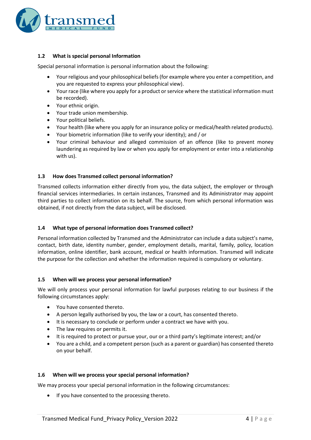

# **1.2 What is special personal Information**

Special personal information is personal information about the following:

- Your religious and your philosophical beliefs (for example where you enter a competition, and you are requested to express your philosophical view).
- Your race (like where you apply for a product or service where the statistical information must be recorded).
- Your ethnic origin.
- Your trade union membership.
- Your political beliefs.
- Your health (like where you apply for an insurance policy or medical/health related products).
- Your biometric information (like to verify your identity); and / or
- Your criminal behaviour and alleged commission of an offence (like to prevent money laundering as required by law or when you apply for employment or enter into a relationship with us).

#### **1.3 How does Transmed collect personal information?**

Transmed collects information either directly from you, the data subject, the employer or through financial services intermediaries. In certain instances, Transmed and its Administrator may appoint third parties to collect information on its behalf. The source, from which personal information was obtained, if not directly from the data subject, will be disclosed.

#### **1.4 What type of personal information does Transmed collect?**

Personal information collected by Transmed and the Administrator can include a data subject's name, contact, birth date, identity number, gender, employment details, marital, family, policy, location information, online identifier, bank account, medical or health information. Transmed will indicate the purpose for the collection and whether the information required is compulsory or voluntary.

#### **1.5 When will we process your personal information?**

We will only process your personal information for lawful purposes relating to our business if the following circumstances apply:

- You have consented thereto.
- A person legally authorised by you, the law or a court, has consented thereto.
- It is necessary to conclude or perform under a contract we have with you.
- The law requires or permits it.
- It is required to protect or pursue your, our or a third party's legitimate interest; and/or
- You are a child, and a competent person (such as a parent or guardian) has consented thereto on your behalf.

#### **1.6 When will we process your special personal information?**

We may process your special personal information in the following circumstances:

If you have consented to the processing thereto.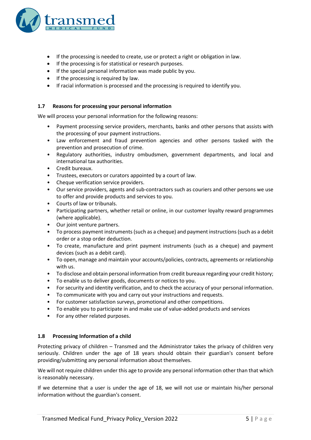

- If the processing is needed to create, use or protect a right or obligation in law.
- If the processing is for statistical or research purposes.
- If the special personal information was made public by you.
- If the processing is required by law.
- If racial information is processed and the processing is required to identify you.

# **1.7 Reasons for processing your personal information**

We will process your personal information for the following reasons:

- Payment processing service providers, merchants, banks and other persons that assists with the processing of your payment instructions.
- Law enforcement and fraud prevention agencies and other persons tasked with the prevention and prosecution of crime.
- Regulatory authorities, industry ombudsmen, government departments, and local and international tax authorities.
- Credit bureaux.
- Trustees, executors or curators appointed by a court of law.
- Cheque verification service providers.
- Our service providers, agents and sub-contractors such as couriers and other persons we use to offer and provide products and services to you.
- Courts of law or tribunals.
- Participating partners, whether retail or online, in our customer loyalty reward programmes (where applicable).
- Our joint venture partners.
- To process payment instruments (such as a cheque) and payment instructions (such as a debit order or a stop order deduction.
- To create, manufacture and print payment instruments (such as a cheque) and payment devices (such as a debit card).
- To open, manage and maintain your accounts/policies, contracts, agreements or relationship with us.
- To disclose and obtain personal information from credit bureaux regarding your credit history;
- To enable us to deliver goods, documents or notices to you.
- For security and identity verification, and to check the accuracy of your personal information.
- To communicate with you and carry out your instructions and requests.
- For customer satisfaction surveys, promotional and other competitions.
- To enable you to participate in and make use of value-added products and services
- For any other related purposes.

#### **1.8 Processing Information of a child**

Protecting privacy of children – Transmed and the Administrator takes the privacy of children very seriously. Children under the age of 18 years should obtain their guardian's consent before providing/submitting any personal information about themselves.

We will not require children under this age to provide any personal information other than that which is reasonably necessary.

If we determine that a user is under the age of 18, we will not use or maintain his/her personal information without the guardian's consent.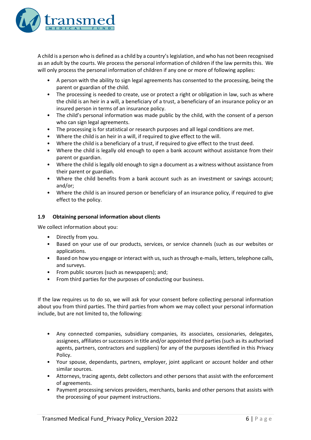

A child is a person who is defined as a child by a country's legislation, and who has not been recognised as an adult by the courts. We process the personal information of children if the law permits this. We will only process the personal information of children if any one or more of following applies:

- A person with the ability to sign legal agreements has consented to the processing, being the parent or guardian of the child.
- The processing is needed to create, use or protect a right or obligation in law, such as where the child is an heir in a will, a beneficiary of a trust, a beneficiary of an insurance policy or an insured person in terms of an insurance policy.
- The child's personal information was made public by the child, with the consent of a person who can sign legal agreements.
- The processing is for statistical or research purposes and all legal conditions are met.
- Where the child is an heir in a will, if required to give effect to the will.
- Where the child is a beneficiary of a trust, if required to give effect to the trust deed.
- Where the child is legally old enough to open a bank account without assistance from their parent or guardian.
- Where the child is legally old enough to sign a document as a witness without assistance from their parent or guardian.
- Where the child benefits from a bank account such as an investment or savings account; and/or;
- Where the child is an insured person or beneficiary of an insurance policy, if required to give effect to the policy.

# **1.9 Obtaining personal information about clients**

We collect information about you:

- Directly from you.
- Based on your use of our products, services, or service channels (such as our websites or applications.
- Based on how you engage or interact with us, such as through e-mails, letters, telephone calls, and surveys.
- From public sources (such as newspapers); and;
- From third parties for the purposes of conducting our business.

If the law requires us to do so, we will ask for your consent before collecting personal information about you from third parties. The third parties from whom we may collect your personal information include, but are not limited to, the following:

- Any connected companies, subsidiary companies, its associates, cessionaries, delegates, assignees, affiliates or successors in title and/or appointed third parties (such as its authorised agents, partners, contractors and suppliers) for any of the purposes identified in this Privacy Policy.
- Your spouse, dependants, partners, employer, joint applicant or account holder and other similar sources.
- Attorneys, tracing agents, debt collectors and other persons that assist with the enforcement of agreements.
- Payment processing services providers, merchants, banks and other persons that assists with the processing of your payment instructions.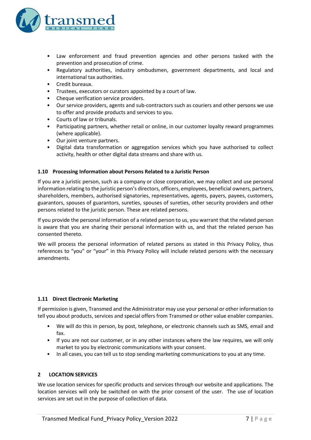

- Law enforcement and fraud prevention agencies and other persons tasked with the prevention and prosecution of crime.
- Regulatory authorities, industry ombudsmen, government departments, and local and international tax authorities.
- Credit bureaux.
- Trustees, executors or curators appointed by a court of law.
- Cheque verification service providers.
- Our service providers, agents and sub-contractors such as couriers and other persons we use to offer and provide products and services to you.
- Courts of law or tribunals.
- Participating partners, whether retail or online, in our customer loyalty reward programmes (where applicable).
- Our joint venture partners.
- Digital data transformation or aggregation services which you have authorised to collect activity, health or other digital data streams and share with us.

#### **1.10 Processing Information about Persons Related to a Juristic Person**

If you are a juristic person, such as a company or close corporation, we may collect and use personal information relating to the juristic person's directors, officers, employees, beneficial owners, partners, shareholders, members, authorised signatories, representatives, agents, payers, payees, customers, guarantors, spouses of guarantors, sureties, spouses of sureties, other security providers and other persons related to the juristic person. These are related persons.

If you provide the personal information of a related person to us, you warrant that the related person is aware that you are sharing their personal information with us, and that the related person has consented thereto.

We will process the personal information of related persons as stated in this Privacy Policy, thus references to "you" or "your" in this Privacy Policy will include related persons with the necessary amendments.

#### **1.11 Direct Electronic Marketing**

If permission is given, Transmed and the Administrator may use your personal or other information to tell you about products, services and special offers from Transmed or other value enabler companies.

- We will do this in person, by post, telephone, or electronic channels such as SMS, email and fax.
- If you are not our customer, or in any other instances where the law requires, we will only market to you by electronic communications with your consent.
- In all cases, you can tell us to stop sending marketing communications to you at any time.

### **2 LOCATION SERVICES**

We use location services for specific products and services through our website and applications. The location services will only be switched on with the prior consent of the user. The use of location services are set out in the purpose of collection of data.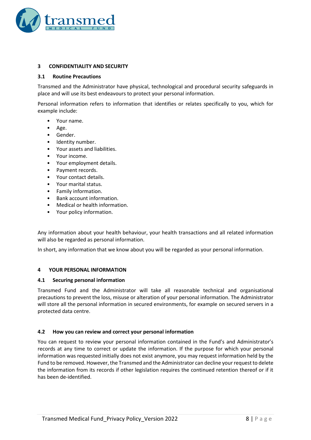

# **3 CONFIDENTIALITY AND SECURITY**

#### **3.1 Routine Precautions**

Transmed and the Administrator have physical, technological and procedural security safeguards in place and will use its best endeavours to protect your personal information.

Personal information refers to information that identifies or relates specifically to you, which for example include:

- Your name.
- Age.
- Gender.
- Identity number.
- Your assets and liabilities.
- Your income.
- Your employment details.
- Payment records.
- Your contact details.
- Your marital status.
- Family information.
- Bank account information.
- Medical or health information.
- Your policy information.

Any information about your health behaviour, your health transactions and all related information will also be regarded as personal information.

In short, any information that we know about you will be regarded as your personal information.

#### **4 YOUR PERSONAL INFORMATION**

#### **4.1 Securing personal information**

Transmed Fund and the Administrator will take all reasonable technical and organisational precautions to prevent the loss, misuse or alteration of your personal information. The Administrator will store all the personal information in secured environments, for example on secured servers in a protected data centre.

#### **4.2 How you can review and correct your personal information**

You can request to review your personal information contained in the Fund's and Administrator's records at any time to correct or update the information. If the purpose for which your personal information was requested initially does not exist anymore, you may request information held by the Fund to be removed. However, the Transmed and the Administrator can decline your request to delete the information from its records if other legislation requires the continued retention thereof or if it has been de-identified.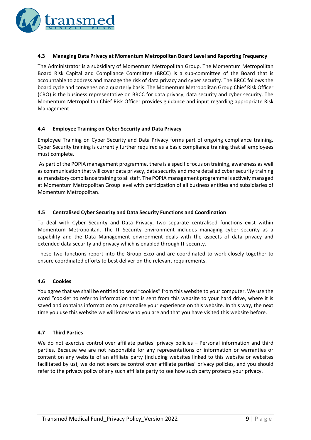

#### **4.3 Managing Data Privacy at Momentum Metropolitan Board Level and Reporting Frequency**

The Administrator is a subsidiary of Momentum Metropolitan Group. The Momentum Metropolitan Board Risk Capital and Compliance Committee (BRCC) is a sub-committee of the Board that is accountable to address and manage the risk of data privacy and cyber security. The BRCC follows the board cycle and convenes on a quarterly basis. The Momentum Metropolitan Group Chief Risk Officer (CRO) is the business representative on BRCC for data privacy, data security and cyber security. The Momentum Metropolitan Chief Risk Officer provides guidance and input regarding appropriate Risk Management.

#### **4.4 Employee Training on Cyber Security and Data Privacy**

Employee Training on Cyber Security and Data Privacy forms part of ongoing compliance training. Cyber Security training is currently further required as a basic compliance training that all employees must complete.

As part of the POPIA management programme, there is a specific focus on training, awareness as well as communication that will cover data privacy, data security and more detailed cyber security training as mandatory compliance training to all staff. The POPIA management programme is actively managed at Momentum Metropolitan Group level with participation of all business entities and subsidiaries of Momentum Metropolitan.

# **4.5 Centralised Cyber Security and Data Security Functions and Coordination**

To deal with Cyber Security and Data Privacy, two separate centralised functions exist within Momentum Metropolitan. The IT Security environment includes managing cyber security as a capability and the Data Management environment deals with the aspects of data privacy and extended data security and privacy which is enabled through IT security.

These two functions report into the Group Exco and are coordinated to work closely together to ensure coordinated efforts to best deliver on the relevant requirements.

#### **4.6 Cookies**

You agree that we shall be entitled to send "cookies" from this website to your computer. We use the word "cookie" to refer to information that is sent from this website to your hard drive, where it is saved and contains information to personalise your experience on this website. In this way, the next time you use this website we will know who you are and that you have visited this website before.

#### **4.7 Third Parties**

We do not exercise control over affiliate parties' privacy policies – Personal information and third parties. Because we are not responsible for any representations or information or warranties or content on any website of an affiliate party (including websites linked to this website or websites facilitated by us), we do not exercise control over affiliate parties' privacy policies, and you should refer to the privacy policy of any such affiliate party to see how such party protects your privacy.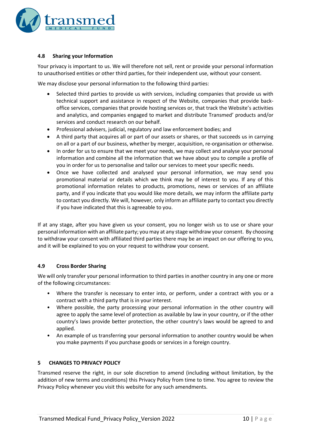

# **4.8 Sharing your Information**

Your privacy is important to us. We will therefore not sell, rent or provide your personal information to unauthorised entities or other third parties, for their independent use, without your consent.

We may disclose your personal information to the following third parties:

- Selected third parties to provide us with services, including companies that provide us with technical support and assistance in respect of the Website, companies that provide backoffice services, companies that provide hosting services or, that track the Website's activities and analytics, and companies engaged to market and distribute Transmed' products and/or services and conduct research on our behalf.
- Professional advisers, judicial, regulatory and law enforcement bodies; and
- A third party that acquires all or part of our assets or shares, or that succeeds us in carrying on all or a part of our business, whether by merger, acquisition, re-organisation or otherwise.
- In order for us to ensure that we meet your needs, we may collect and analyse your personal information and combine all the information that we have about you to compile a profile of you in order for us to personalise and tailor our services to meet your specific needs.
- Once we have collected and analysed your personal information, we may send you promotional material or details which we think may be of interest to you. If any of this promotional information relates to products, promotions, news or services of an affiliate party, and if you indicate that you would like more details, we may inform the affiliate party to contact you directly. We will, however, only inform an affiliate party to contact you directly if you have indicated that this is agreeable to you.

If at any stage, after you have given us your consent, you no longer wish us to use or share your personal information with an affiliate party; you may at any stage withdraw your consent. By choosing to withdraw your consent with affiliated third parties there may be an impact on our offering to you, and it will be explained to you on your request to withdraw your consent.

# **4.9 Cross Border Sharing**

We will only transfer your personal information to third parties in another country in any one or more of the following circumstances:

- Where the transfer is necessary to enter into, or perform, under a contract with you or a contract with a third party that is in your interest.
- Where possible, the party processing your personal information in the other country will agree to apply the same level of protection as available by law in your country, or if the other country's laws provide better protection, the other country's laws would be agreed to and applied.
- An example of us transferring your personal information to another country would be when you make payments if you purchase goods or services in a foreign country.

#### **5 CHANGES TO PRIVACY POLICY**

Transmed reserve the right, in our sole discretion to amend (including without limitation, by the addition of new terms and conditions) this Privacy Policy from time to time. You agree to review the Privacy Policy whenever you visit this website for any such amendments.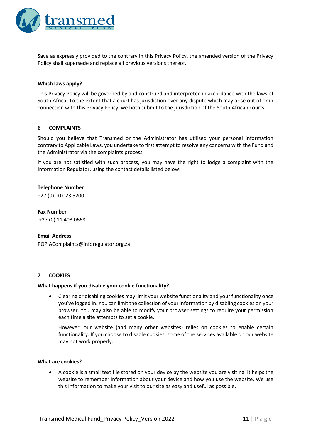

Save as expressly provided to the contrary in this Privacy Policy, the amended version of the Privacy Policy shall supersede and replace all previous versions thereof.

#### **Which laws apply?**

This Privacy Policy will be governed by and construed and interpreted in accordance with the laws of South Africa. To the extent that a court has jurisdiction over any dispute which may arise out of or in connection with this Privacy Policy, we both submit to the jurisdiction of the South African courts.

#### **6 COMPLAINTS**

Should you believe that Transmed or the Administrator has utilised your personal information contrary to Applicable Laws, you undertake to first attempt to resolve any concerns with the Fund and the Administrator via the complaints process.

If you are not satisfied with such process, you may have the right to lodge a complaint with the Information Regulator, using the contact details listed below:

#### **Telephone Number**

+27 (0) 10 023 5200

**Fax Number** +27 (0) 11 403 0668

#### **Email Address**

[POPIAComplaints@inforegulator.org.za](mailto:POPIAComplaints@inforegulator.org.za)

#### **7 COOKIES**

#### **What happens if you disable your cookie functionality?**

• Clearing or disabling cookies may limit your website functionality and your functionality once you've logged in. You can limit the collection of your information by disabling cookies on your browser. You may also be able to modify your browser settings to require your permission each time a site attempts to set a cookie.

However, our website (and many other websites) relies on cookies to enable certain functionality. If you choose to disable cookies, some of the services available on our website may not work properly.

#### **What are cookies?**

• A cookie is a small text file stored on your device by the website you are visiting. It helps the website to remember information about your device and how you use the website. We use this information to make your visit to our site as easy and useful as possible.